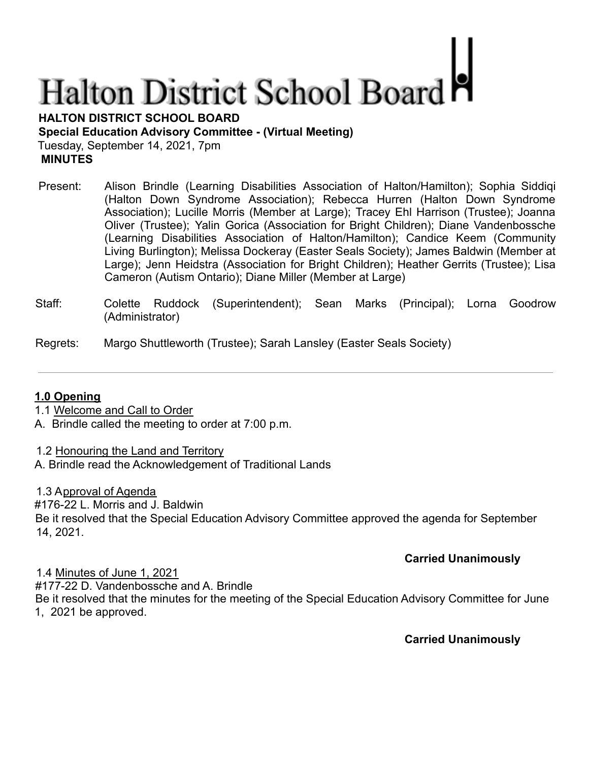# **Halton District School Board**

**HALTON DISTRICT SCHOOL BOARD**

**Special Education Advisory Committee - (Virtual Meeting)**

Tuesday, September 14, 2021, 7pm **MINUTES**

- Present: Alison Brindle (Learning Disabilities Association of Halton/Hamilton); Sophia Siddiqi (Halton Down Syndrome Association); Rebecca Hurren (Halton Down Syndrome Association); Lucille Morris (Member at Large); Tracey Ehl Harrison (Trustee); Joanna Oliver (Trustee); Yalin Gorica (Association for Bright Children); Diane Vandenbossche (Learning Disabilities Association of Halton/Hamilton); Candice Keem (Community Living Burlington); Melissa Dockeray (Easter Seals Society); James Baldwin (Member at Large); Jenn Heidstra (Association for Bright Children); Heather Gerrits (Trustee); Lisa Cameron (Autism Ontario); Diane Miller (Member at Large)
- Staff: Colette Ruddock (Superintendent); Sean Marks (Principal); Lorna Goodrow (Administrator)

Regrets: Margo Shuttleworth (Trustee); Sarah Lansley (Easter Seals Society)

# **1.0 Opening**

- 1.1 Welcome and Call to Order
- A. Brindle called the meeting to order at 7:00 p.m.

1.2 Honouring the Land and Territory A. Brindle read the Acknowledgement of Traditional Lands

1.3 Approval of Agenda

#176-22 L. Morris and J. Baldwin

Be it resolved that the Special Education Advisory Committee approved the agenda for September 14, 2021.

# **Carried Unanimously**

1.4 Minutes of June 1, 2021 #177-22 D. Vandenbossche and A. Brindle Be it resolved that the minutes for the meeting of the Special Education Advisory Committee for June 1, 2021 be approved.

# **Carried Unanimously**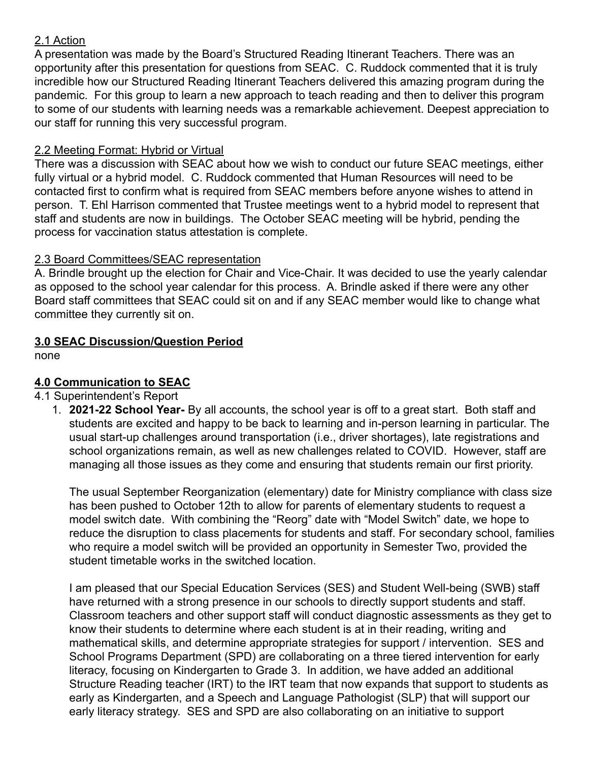### 2.1 Action

A presentation was made by the Board's Structured Reading Itinerant Teachers. There was an opportunity after this presentation for questions from SEAC. C. Ruddock commented that it is truly incredible how our Structured Reading Itinerant Teachers delivered this amazing program during the pandemic. For this group to learn a new approach to teach reading and then to deliver this program to some of our students with learning needs was a remarkable achievement. Deepest appreciation to our staff for running this very successful program.

#### 2.2 Meeting Format: Hybrid or Virtual

There was a discussion with SEAC about how we wish to conduct our future SEAC meetings, either fully virtual or a hybrid model. C. Ruddock commented that Human Resources will need to be contacted first to confirm what is required from SEAC members before anyone wishes to attend in person. T. Ehl Harrison commented that Trustee meetings went to a hybrid model to represent that staff and students are now in buildings. The October SEAC meeting will be hybrid, pending the process for vaccination status attestation is complete.

# 2.3 Board Committees/SEAC representation

A. Brindle brought up the election for Chair and Vice-Chair. It was decided to use the yearly calendar as opposed to the school year calendar for this process. A. Brindle asked if there were any other Board staff committees that SEAC could sit on and if any SEAC member would like to change what committee they currently sit on.

# **3.0 SEAC Discussion/Question Period**

none

# **4.0 Communication to SEAC**

#### 4.1 Superintendent's Report

1. **2021-22 School Year-** By all accounts, the school year is off to a great start. Both staff and students are excited and happy to be back to learning and in-person learning in particular. The usual start-up challenges around transportation (i.e., driver shortages), late registrations and school organizations remain, as well as new challenges related to COVID. However, staff are managing all those issues as they come and ensuring that students remain our first priority.

The usual September Reorganization (elementary) date for Ministry compliance with class size has been pushed to October 12th to allow for parents of elementary students to request a model switch date. With combining the "Reorg" date with "Model Switch" date, we hope to reduce the disruption to class placements for students and staff. For secondary school, families who require a model switch will be provided an opportunity in Semester Two, provided the student timetable works in the switched location.

I am pleased that our Special Education Services (SES) and Student Well-being (SWB) staff have returned with a strong presence in our schools to directly support students and staff. Classroom teachers and other support staff will conduct diagnostic assessments as they get to know their students to determine where each student is at in their reading, writing and mathematical skills, and determine appropriate strategies for support / intervention. SES and School Programs Department (SPD) are collaborating on a three tiered intervention for early literacy, focusing on Kindergarten to Grade 3. In addition, we have added an additional Structure Reading teacher (IRT) to the IRT team that now expands that support to students as early as Kindergarten, and a Speech and Language Pathologist (SLP) that will support our early literacy strategy. SES and SPD are also collaborating on an initiative to support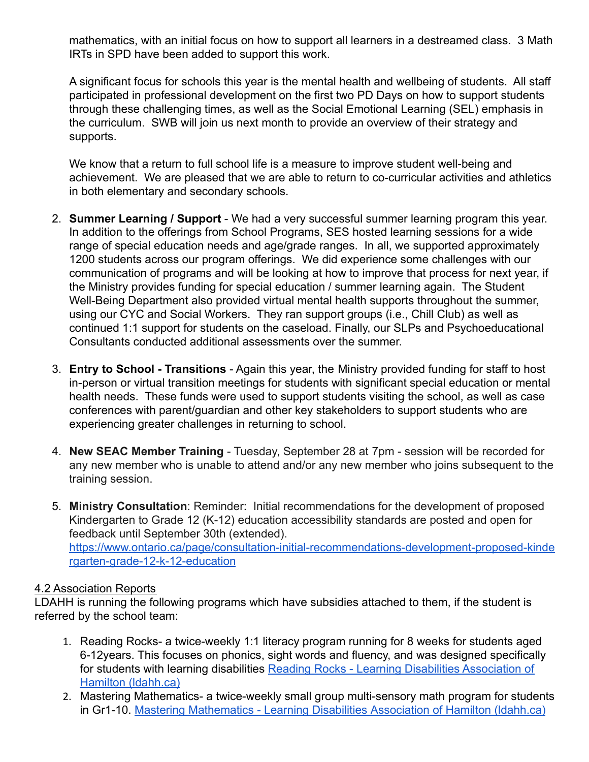mathematics, with an initial focus on how to support all learners in a destreamed class. 3 Math IRTs in SPD have been added to support this work.

A significant focus for schools this year is the mental health and wellbeing of students. All staff participated in professional development on the first two PD Days on how to support students through these challenging times, as well as the Social Emotional Learning (SEL) emphasis in the curriculum. SWB will join us next month to provide an overview of their strategy and supports.

We know that a return to full school life is a measure to improve student well-being and achievement. We are pleased that we are able to return to co-curricular activities and athletics in both elementary and secondary schools.

- 2. **Summer Learning / Support** We had a very successful summer learning program this year. In addition to the offerings from School Programs, SES hosted learning sessions for a wide range of special education needs and age/grade ranges. In all, we supported approximately 1200 students across our program offerings. We did experience some challenges with our communication of programs and will be looking at how to improve that process for next year, if the Ministry provides funding for special education / summer learning again. The Student Well-Being Department also provided virtual mental health supports throughout the summer, using our CYC and Social Workers. They ran support groups (i.e., Chill Club) as well as continued 1:1 support for students on the caseload. Finally, our SLPs and Psychoeducational Consultants conducted additional assessments over the summer.
- 3. **Entry to School Transitions** Again this year, the Ministry provided funding for staff to host in-person or virtual transition meetings for students with significant special education or mental health needs. These funds were used to support students visiting the school, as well as case conferences with parent/guardian and other key stakeholders to support students who are experiencing greater challenges in returning to school.
- 4. **New SEAC Member Training** Tuesday, September 28 at 7pm session will be recorded for any new member who is unable to attend and/or any new member who joins subsequent to the training session.
- 5. **Ministry Consultation**: Reminder: Initial recommendations for the development of proposed Kindergarten to Grade 12 (K-12) education accessibility standards are posted and open for feedback until September 30th (extended). [https://www.ontario.ca/page/consultation-initial-recommendations-development-proposed-kinde](https://www.ontario.ca/page/consultation-initial-recommendations-development-proposed-kindergarten-grade-12-k-12-education) [rgarten-grade-12-k-12-education](https://www.ontario.ca/page/consultation-initial-recommendations-development-proposed-kindergarten-grade-12-k-12-education)

#### 4.2 Association Reports

LDAHH is running the following programs which have subsidies attached to them, if the student is referred by the school team:

- 1. Reading Rocks- a twice-weekly 1:1 literacy program running for 8 weeks for students aged 6-12years. This focuses on phonics, sight words and fluency, and was designed specifically for students with learning disabilities Reading Rocks [- Learning Disabilities Association of](https://www.ldahh.ca/programs/reading-rocks/) [Hamilton \(ldahh.ca\)](https://www.ldahh.ca/programs/reading-rocks/)
- 2. Mastering Mathematics- a twice-weekly small group multi-sensory math program for students in Gr1-10. [Mastering Mathematics - Learning Disabilities](https://www.ldahh.ca/programs/mastering-mathematics/) Association of Hamilton (ldahh.ca)